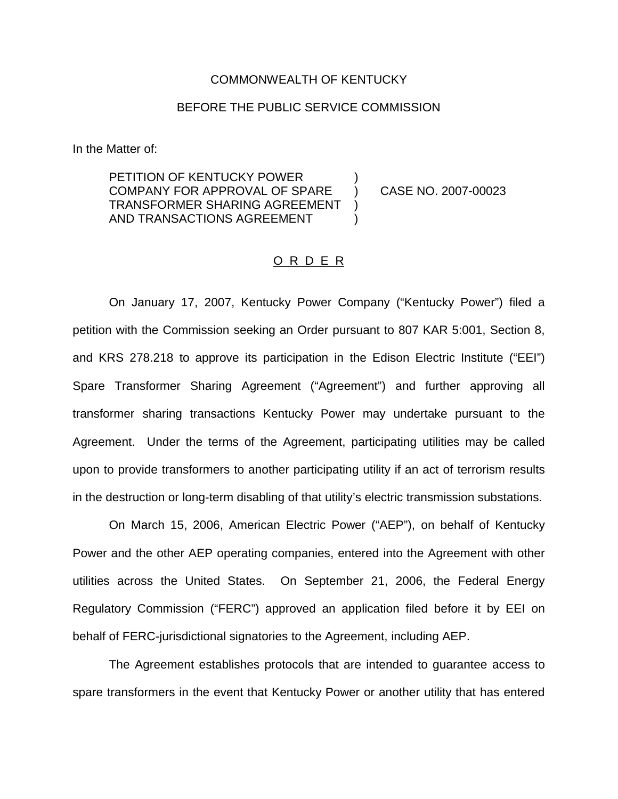### COMMONWEALTH OF KENTUCKY

## BEFORE THE PUBLIC SERVICE COMMISSION

In the Matter of:

PETITION OF KENTUCKY POWER COMPANY FOR APPROVAL OF SPARE ) CASE NO. 2007-00023 TRANSFORMER SHARING AGREEMENT AND TRANSACTIONS AGREEMENT  $)$ 

#### O R D E R

On January 17, 2007, Kentucky Power Company ("Kentucky Power") filed a petition with the Commission seeking an Order pursuant to 807 KAR 5:001, Section 8, and KRS 278.218 to approve its participation in the Edison Electric Institute ("EEI") Spare Transformer Sharing Agreement ("Agreement") and further approving all transformer sharing transactions Kentucky Power may undertake pursuant to the Agreement. Under the terms of the Agreement, participating utilities may be called upon to provide transformers to another participating utility if an act of terrorism results in the destruction or long-term disabling of that utility's electric transmission substations.

On March 15, 2006, American Electric Power ("AEP"), on behalf of Kentucky Power and the other AEP operating companies, entered into the Agreement with other utilities across the United States. On September 21, 2006, the Federal Energy Regulatory Commission ("FERC") approved an application filed before it by EEI on behalf of FERC-jurisdictional signatories to the Agreement, including AEP.

The Agreement establishes protocols that are intended to guarantee access to spare transformers in the event that Kentucky Power or another utility that has entered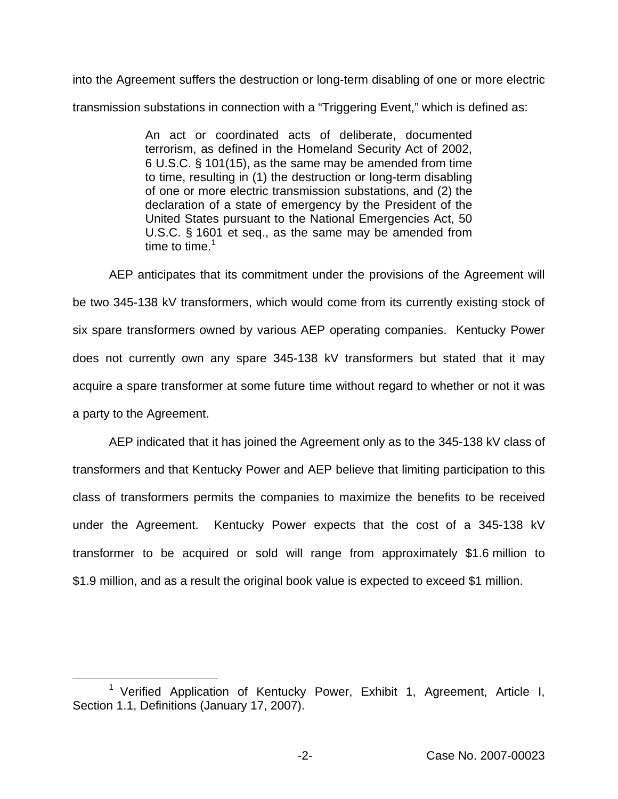into the Agreement suffers the destruction or long-term disabling of one or more electric transmission substations in connection with a "Triggering Event," which is defined as:

> An act or coordinated acts of deliberate, documented terrorism, as defined in the Homeland Security Act of 2002, 6 U.S.C. § 101(15), as the same may be amended from time to time, resulting in (1) the destruction or long-term disabling of one or more electric transmission substations, and (2) the declaration of a state of emergency by the President of the United States pursuant to the National Emergencies Act, 50 U.S.C. § 1601 et seq., as the same may be amended from time to time. $1$

AEP anticipates that its commitment under the provisions of the Agreement will be two 345-138 kV transformers, which would come from its currently existing stock of six spare transformers owned by various AEP operating companies. Kentucky Power does not currently own any spare 345-138 kV transformers but stated that it may acquire a spare transformer at some future time without regard to whether or not it was a party to the Agreement.

AEP indicated that it has joined the Agreement only as to the 345-138 kV class of transformers and that Kentucky Power and AEP believe that limiting participation to this class of transformers permits the companies to maximize the benefits to be received under the Agreement. Kentucky Power expects that the cost of a 345-138 kV transformer to be acquired or sold will range from approximately \$1.6 million to \$1.9 million, and as a result the original book value is expected to exceed \$1 million.

<sup>&</sup>lt;sup>1</sup> Verified Application of Kentucky Power, Exhibit 1, Agreement, Article I, Section 1.1, Definitions (January 17, 2007).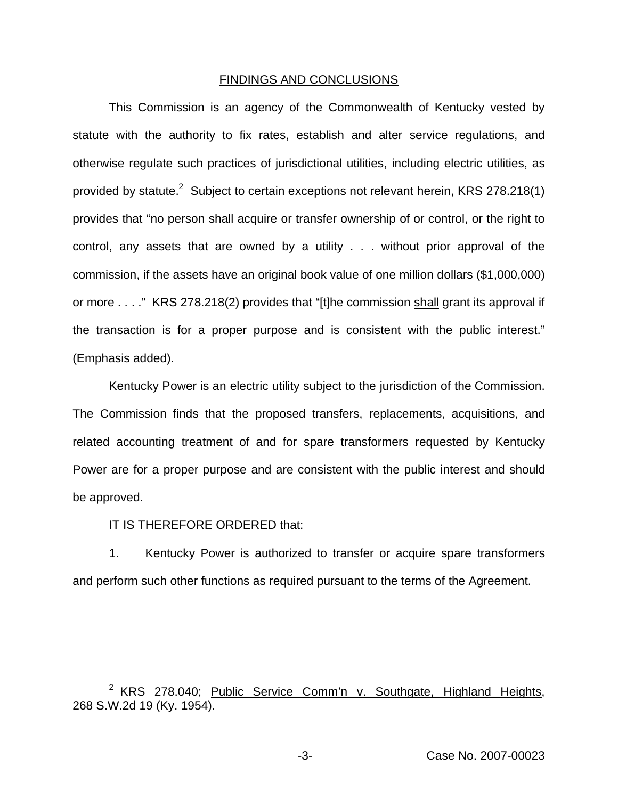#### FINDINGS AND CONCLUSIONS

This Commission is an agency of the Commonwealth of Kentucky vested by statute with the authority to fix rates, establish and alter service regulations, and otherwise regulate such practices of jurisdictional utilities, including electric utilities, as provided by statute.<sup>2</sup> Subject to certain exceptions not relevant herein, KRS 278.218(1) provides that "no person shall acquire or transfer ownership of or control, or the right to control, any assets that are owned by a utility . . . without prior approval of the commission, if the assets have an original book value of one million dollars (\$1,000,000) or more . . . ." KRS 278.218(2) provides that "[t]he commission shall grant its approval if the transaction is for a proper purpose and is consistent with the public interest." (Emphasis added).

Kentucky Power is an electric utility subject to the jurisdiction of the Commission. The Commission finds that the proposed transfers, replacements, acquisitions, and related accounting treatment of and for spare transformers requested by Kentucky Power are for a proper purpose and are consistent with the public interest and should be approved.

# IT IS THEREFORE ORDERED that:

1. Kentucky Power is authorized to transfer or acquire spare transformers and perform such other functions as required pursuant to the terms of the Agreement.

<sup>&</sup>lt;sup>2</sup> KRS 278.040; Public Service Comm'n v. Southgate, Highland Heights, 268 S.W.2d 19 (Ky. 1954).